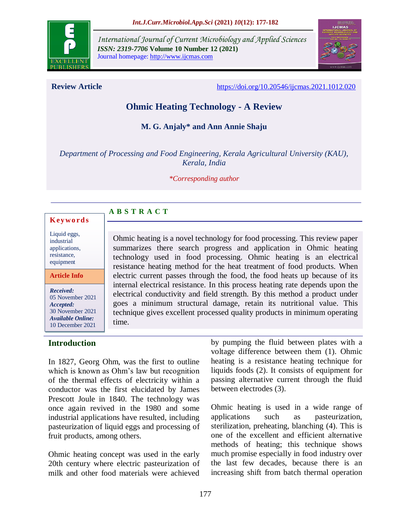

*International Journal of Current Microbiology and Applied Sciences ISSN: 2319-7706* **Volume 10 Number 12 (2021)**  Journal homepage: http://www.ijcmas.com



**Review Article** <https://doi.org/10.20546/ijcmas.2021.1012.020>

# **Ohmic Heating Technology - A Review**

**M. G. Anjaly\* and Ann Annie Shaju**

*Department of Processing and Food Engineering, Kerala Agricultural University (KAU), Kerala, India*

*\*Corresponding author*

#### **A B S T R A C T K ey w o rd s**

Liquid eggs, industrial applications, resistance, equipment

**Article Info**

*Received:*  05 November 2021 *Accepted:*  30 November 2021 *Available Online:* 10 December 2021

## **Introduction**

Ohmic heating is a novel technology for food processing. This review paper summarizes there search progress and application in Ohmic heating technology used in food processing. Ohmic heating is an electrical resistance heating method for the heat treatment of food products. When electric current passes through the food, the food heats up because of its internal electrical resistance. In this process heating rate depends upon the electrical conductivity and field strength. By this method a product under goes a minimum structural damage, retain its nutritional value. This technique gives excellent processed quality products in minimum operating time.

In 1827, Georg Ohm, was the first to outline which is known as Ohm's law but recognition of the thermal effects of electricity within a conductor was the first elucidated by James Prescott Joule in 1840. The technology was once again revived in the 1980 and some industrial applications have resulted, including pasteurization of liquid eggs and processing of fruit products, among others.

Ohmic heating concept was used in the early 20th century where electric pasteurization of milk and other food materials were achieved

by pumping the fluid between plates with a voltage difference between them (1). Ohmic heating is a resistance heating technique for liquids foods (2). It consists of equipment for passing alternative current through the fluid between electrodes (3).

Ohmic heating is used in a wide range of applications such as pasteurization, sterilization, preheating, blanching (4). This is one of the excellent and efficient alternative methods of heating; this technique shows much promise especially in food industry over the last few decades, because there is an increasing shift from batch thermal operation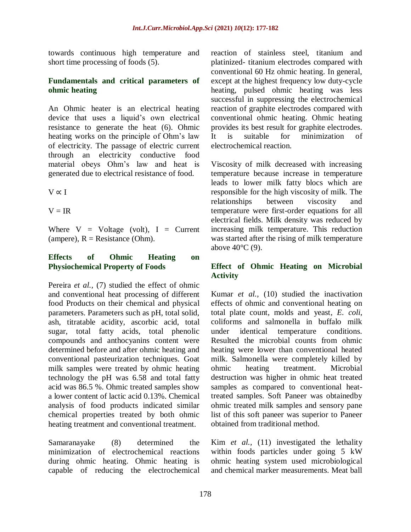towards continuous high temperature and short time processing of foods (5).

#### **Fundamentals and critical parameters of ohmic heating**

An Ohmic heater is an electrical heating device that uses a liquid's own electrical resistance to generate the heat (6). Ohmic heating works on the principle of Ohm's law of electricity. The passage of electric current through an electricity conductive food material obeys Ohm's law and heat is generated due to electrical resistance of food.

 $V \propto I$ 

 $V = IR$ 

Where  $V = Voltage$  (volt),  $I = Current$ (ampere),  $R =$  Resistance (Ohm).

## **Effects of Ohmic Heating on Physiochemical Property of Foods**

Pereira *et al.,* (7) studied the effect of ohmic and conventional heat processing of different food Products on their chemical and physical parameters. Parameters such as pH, total solid, ash, titratable acidity, ascorbic acid, total sugar, total fatty acids, total phenolic compounds and anthocyanins content were determined before and after ohmic heating and conventional pasteurization techniques. Goat milk samples were treated by ohmic heating technology the pH was 6.58 and total fatty acid was 86.5 %. Ohmic treated samples show a lower content of lactic acid 0.13%. Chemical analysis of food products indicated similar chemical properties treated by both ohmic heating treatment and conventional treatment.

Samaranayake (8) determined the minimization of electrochemical reactions during ohmic heating. Ohmic heating is capable of reducing the electrochemical reaction of stainless steel, titanium and platinized- titanium electrodes compared with conventional 60 Hz ohmic heating. In general, except at the highest frequency low duty-cycle heating, pulsed ohmic heating was less successful in suppressing the electrochemical reaction of graphite electrodes compared with conventional ohmic heating. Ohmic heating provides its best result for graphite electrodes. It is suitable for minimization of electrochemical reaction.

Viscosity of milk decreased with increasing temperature because increase in temperature leads to lower milk fatty blocs which are responsible for the high viscosity of milk. The relationships between viscosity and temperature were first-order equations for all electrical fields. Milk density was reduced by increasing milk temperature. This reduction was started after the rising of milk temperature above 40°C (9).

## **Effect of Ohmic Heating on Microbial Activity**

Kumar *et al.,* (10) studied the inactivation effects of ohmic and conventional heating on total plate count, molds and yeast*, E. coli*, coliforms and salmonella in buffalo milk under identical temperature conditions. Resulted the microbial counts from ohmic heating were lower than conventional heated milk. Salmonella were completely killed by ohmic heating treatment. Microbial destruction was higher in ohmic heat treated samples as compared to conventional heattreated samples. Soft Paneer was obtainedby ohmic treated milk samples and sensory pane list of this soft paneer was superior to Paneer obtained from traditional method.

Kim *et al.,* (11) investigated the lethality within foods particles under going 5 kW ohmic heating system used microbiological and chemical marker measurements. Meat ball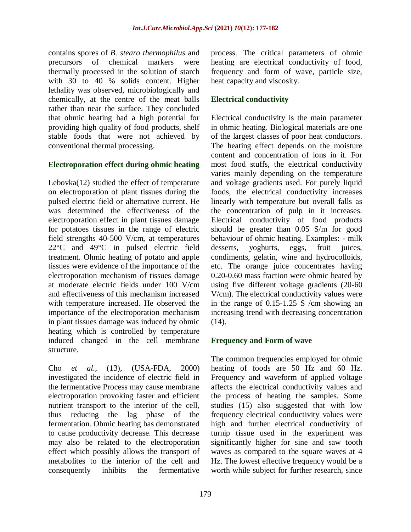contains spores of *B. stearo thermophilus* and precursors of chemical markers were thermally processed in the solution of starch with 30 to 40 % solids content. Higher lethality was observed, microbiologically and chemically, at the centre of the meat balls rather than near the surface. They concluded that ohmic heating had a high potential for providing high quality of food products, shelf stable foods that were not achieved by conventional thermal processing.

#### **Electroporation effect during ohmic heating**

Lebovka(12) studied the effect of temperature on electroporation of plant tissues during the pulsed electric field or alternative current. He was determined the effectiveness of the electroporation effect in plant tissues damage for potatoes tissues in the range of electric field strengths 40-500 V/cm, at temperatures 22°C and 49°C in pulsed electric field treatment. Ohmic heating of potato and apple tissues were evidence of the importance of the electroporation mechanism of tissues damage at moderate electric fields under 100 V/cm and effectiveness of this mechanism increased with temperature increased. He observed the importance of the electroporation mechanism in plant tissues damage was induced by ohmic heating which is controlled by temperature induced changed in the cell membrane structure.

Cho *et al.,* (13), (USA-FDA, 2000) investigated the incidence of electric field in the fermentative Process may cause membrane electroporation provoking faster and efficient nutrient transport to the interior of the cell, thus reducing the lag phase of the fermentation. Ohmic heating has demonstrated to cause productivity decrease. This decrease may also be related to the electroporation effect which possibly allows the transport of metabolites to the interior of the cell and consequently inhibits the fermentative

process. The critical parameters of ohmic heating are electrical conductivity of food, frequency and form of wave, particle size, heat capacity and viscosity.

## **Electrical conductivity**

Electrical conductivity is the main parameter in ohmic heating. Biological materials are one of the largest classes of poor heat conductors. The heating effect depends on the moisture content and concentration of ions in it. For most food stuffs, the electrical conductivity varies mainly depending on the temperature and voltage gradients used. For purely liquid foods, the electrical conductivity increases linearly with temperature but overall falls as the concentration of pulp in it increases. Electrical conductivity of food products should be greater than 0.05 S/m for good behaviour of ohmic heating. Examples: - milk desserts, yoghurts, eggs, fruit juices, condiments, gelatin, wine and hydrocolloids, etc. The orange juice concentrates having 0.20-0.60 mass fraction were ohmic heated by using five different voltage gradients (20-60 V/cm). The electrical conductivity values were in the range of 0.15-1.25 S /cm showing an increasing trend with decreasing concentration (14).

## **Frequency and Form of wave**

The common frequencies employed for ohmic heating of foods are 50 Hz and 60 Hz. Frequency and waveform of applied voltage affects the electrical conductivity values and the process of heating the samples. Some studies (15) also suggested that with low frequency electrical conductivity values were high and further electrical conductivity of turnip tissue used in the experiment was significantly higher for sine and saw tooth waves as compared to the square waves at 4 Hz. The lowest effective frequency would be a worth while subject for further research, since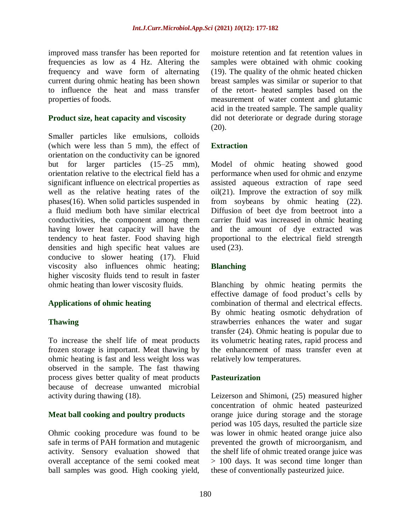improved mass transfer has been reported for frequencies as low as 4 Hz. Altering the frequency and wave form of alternating current during ohmic heating has been shown to influence the heat and mass transfer properties of foods.

#### **Product size, heat capacity and viscosity**

Smaller particles like emulsions, colloids (which were less than 5 mm), the effect of orientation on the conductivity can be ignored but for larger particles (15–25 mm), orientation relative to the electrical field has a significant influence on electrical properties as well as the relative heating rates of the phases(16). When solid particles suspended in a fluid medium both have similar electrical conductivities, the component among them having lower heat capacity will have the tendency to heat faster. Food shaving high densities and high specific heat values are conducive to slower heating (17). Fluid viscosity also influences ohmic heating; higher viscosity fluids tend to result in faster ohmic heating than lower viscosity fluids.

## **Applications of ohmic heating**

## **Thawing**

To increase the shelf life of meat products frozen storage is important. Meat thawing by ohmic heating is fast and less weight loss was observed in the sample. The fast thawing process gives better quality of meat products because of decrease unwanted microbial activity during thawing (18).

## **Meat ball cooking and poultry products**

Ohmic cooking procedure was found to be safe in terms of PAH formation and mutagenic activity. Sensory evaluation showed that overall acceptance of the semi cooked meat ball samples was good. High cooking yield,

moisture retention and fat retention values in samples were obtained with ohmic cooking (19). The quality of the ohmic heated chicken breast samples was similar or superior to that of the retort- heated samples based on the measurement of water content and glutamic acid in the treated sample. The sample quality did not deteriorate or degrade during storage (20).

## **Extraction**

Model of ohmic heating showed good performance when used for ohmic and enzyme assisted aqueous extraction of rape seed oil(21). Improve the extraction of soy milk from soybeans by ohmic heating (22). Diffusion of beet dye from beetroot into a carrier fluid was increased in ohmic heating and the amount of dye extracted was proportional to the electrical field strength used (23).

#### **Blanching**

Blanching by ohmic heating permits the effective damage of food product's cells by combination of thermal and electrical effects. By ohmic heating osmotic dehydration of strawberries enhances the water and sugar transfer (24). Ohmic heating is popular due to its volumetric heating rates, rapid process and the enhancement of mass transfer even at relatively low temperatures.

## **Pasteurization**

Leizerson and Shimoni, (25) measured higher concentration of ohmic heated pasteurized orange juice during storage and the storage period was 105 days, resulted the particle size was lower in ohmic heated orange juice also prevented the growth of microorganism, and the shelf life of ohmic treated orange juice was > 100 days. It was second time longer than these of conventionally pasteurized juice.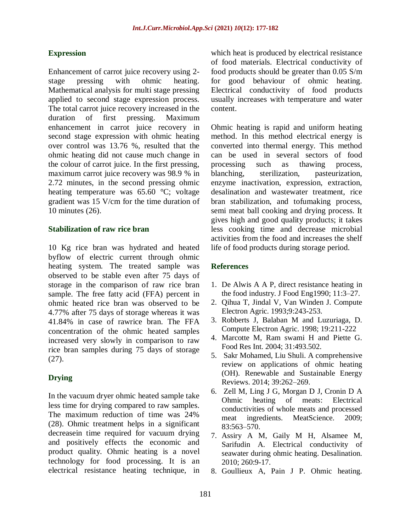## **Expression**

Enhancement of carrot juice recovery using 2 stage pressing with ohmic heating. Mathematical analysis for multi stage pressing applied to second stage expression process. The total carrot juice recovery increased in the duration of first pressing. Maximum enhancement in carrot juice recovery in second stage expression with ohmic heating over control was 13.76 %, resulted that the ohmic heating did not cause much change in the colour of carrot juice. In the first pressing, maximum carrot juice recovery was 98.9 % in 2.72 minutes, in the second pressing ohmic heating temperature was 65.60 °C; voltage gradient was 15 V/cm for the time duration of 10 minutes (26).

#### **Stabilization of raw rice bran**

10 Kg rice bran was hydrated and heated byflow of electric current through ohmic heating system. The treated sample was observed to be stable even after 75 days of storage in the comparison of raw rice bran sample. The free fatty acid (FFA) percent in ohmic heated rice bran was observed to be 4.77% after 75 days of storage whereas it was 41.84% in case of rawrice bran. The FFA concentration of the ohmic heated samples increased very slowly in comparison to raw rice bran samples during 75 days of storage (27).

## **Drying**

In the vacuum dryer ohmic heated sample take less time for drying compared to raw samples. The maximum reduction of time was 24% (28). Ohmic treatment helps in a significant decreasein time required for vacuum drying and positively effects the economic and product quality. Ohmic heating is a novel technology for food processing. It is an electrical resistance heating technique, in

which heat is produced by electrical resistance of food materials. Electrical conductivity of food products should be greater than 0.05 S/m for good behaviour of ohmic heating. Electrical conductivity of food products usually increases with temperature and water content.

Ohmic heating is rapid and uniform heating method. In this method electrical energy is converted into thermal energy. This method can be used in several sectors of food processing such as thawing process, blanching, sterilization, pasteurization, enzyme inactivation, expression, extraction, desalination and wastewater treatment, rice bran stabilization, and tofumaking process, semi meat ball cooking and drying process. It gives high and good quality products; it takes less cooking time and decrease microbial activities from the food and increases the shelf life of food products during storage period.

#### **References**

- 1. De Alwis A A P, direct resistance heating in the food industry. J Food Eng1990; 11:3–27.
- 2. Qihua T, Jindal V, Van Winden J. Compute Electron Agric. 1993;9:243-253.
- 3. Robberts J, Balaban M and Luzuriaga, D. Compute Electron Agric. 1998; 19:211-222
- 4. Marcotte M, Ram swami H and Piette G. Food Res Int. 2004; 31:493.502.
- 5. Sakr Mohamed, Liu Shuli. A comprehensive review on applications of ohmic heating (OH). Renewable and Sustainable Energy Reviews. 2014; 39:262–269.
- 6. Zell M, Ling J G, Morgan D J, Cronin D A Ohmic heating of meats: Electrical conductivities of whole meats and processed meat ingredients. MeatScience. 2009; 83:563–570.
- 7. Assiry A M, Gaily M H, Alsamee M, Sarifudin A. Electrical conductivity of seawater during ohmic heating. Desalination. 2010; 260:9-17.
- 8. Goullieux A, Pain J P. Ohmic heating.